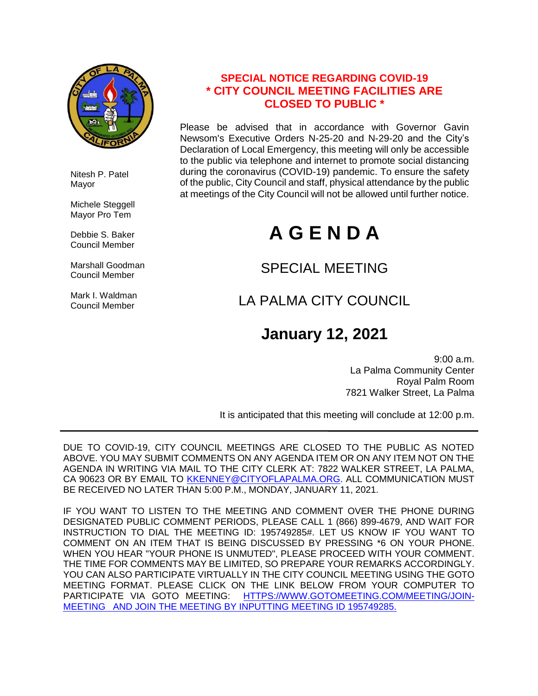

 Nitesh P. Patel Mayor

Michele Steggell Mayor Pro Tem

 Debbie S. Baker Council Member

 Marshall Goodman Council Member

 Mark I. Waldman Council Member

### **SPECIAL NOTICE REGARDING COVID-19 \* CITY COUNCIL MEETING FACILITIES ARE CLOSED TO PUBLIC \***

Please be advised that in accordance with Governor Gavin Newsom's Executive Orders N-25-20 and N-29-20 and the City's Declaration of Local Emergency, this meeting will only be accessible to the public via telephone and internet to promote social distancing during the coronavirus (COVID-19) pandemic. To ensure the safety of the public, City Council and staff, physical attendance by the public at meetings of the City Council will not be allowed until further notice.

# **A G E N D A**

### SPECIAL MEETING

### LA PALMA CITY COUNCIL

## **January 12, 2021**

9:00 a.m. La Palma Community Center Royal Palm Room 7821 Walker Street, La Palma

It is anticipated that this meeting will conclude at 12:00 p.m.

DUE TO COVID-19, CITY COUNCIL MEETINGS ARE CLOSED TO THE PUBLIC AS NOTED ABOVE. YOU MAY SUBMIT COMMENTS ON ANY AGENDA ITEM OR ON ANY ITEM NOT ON THE AGENDA IN WRITING VIA MAIL TO THE CITY CLERK AT: 7822 WALKER STREET, LA PALMA, CA 90623 OR BY EMAIL TO [KKENNEY@CITYOFLAPALMA.ORG.](mailto:KKENNEY@CITYOFLAPALMA.ORG) ALL COMMUNICATION MUST BE RECEIVED NO LATER THAN 5:00 P.M., MONDAY, JANUARY 11, 2021.

IF YOU WANT TO LISTEN TO THE MEETING AND COMMENT OVER THE PHONE DURING DESIGNATED PUBLIC COMMENT PERIODS, PLEASE CALL 1 (866) 899-4679, AND WAIT FOR INSTRUCTION TO DIAL THE MEETING ID: 195749285#. LET US KNOW IF YOU WANT TO COMMENT ON AN ITEM THAT IS BEING DISCUSSED BY PRESSING \*6 ON YOUR PHONE. WHEN YOU HEAR "YOUR PHONE IS UNMUTED", PLEASE PROCEED WITH YOUR COMMENT. THE TIME FOR COMMENTS MAY BE LIMITED, SO PREPARE YOUR REMARKS ACCORDINGLY. YOU CAN ALSO PARTICIPATE VIRTUALLY IN THE CITY COUNCIL MEETING USING THE GOTO MEETING FORMAT. PLEASE CLICK ON THE LINK BELOW FROM YOUR COMPUTER TO PARTICIPATE VIA GOTO MEETING: [HTTPS://WWW.GOTOMEETING.COM/MEETING/JOIN-](https://www.gotomeeting.com/meeting/join-meeting)[MEETING](https://www.gotomeeting.com/meeting/join-meeting) AND JOIN THE MEETING BY INPUTTING MEETING ID 195749285.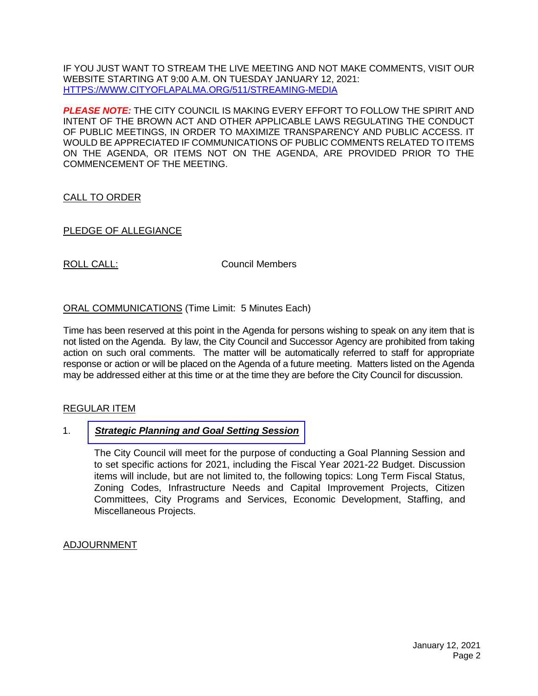IF YOU JUST WANT TO STREAM THE LIVE MEETING AND NOT MAKE COMMENTS, VISIT OUR WEBSITE STARTING AT 9:00 A.M. ON TUESDAY JANUARY 12, 2021: [HTTPS://WWW.CITYOFLAPALMA.ORG/511/STREAMING-MEDIA](https://www.cityoflapalma.org/511/Streaming-Media)

*PLEASE NOTE:* THE CITY COUNCIL IS MAKING EVERY EFFORT TO FOLLOW THE SPIRIT AND INTENT OF THE BROWN ACT AND OTHER APPLICABLE LAWS REGULATING THE CONDUCT OF PUBLIC MEETINGS, IN ORDER TO MAXIMIZE TRANSPARENCY AND PUBLIC ACCESS. IT WOULD BE APPRECIATED IF COMMUNICATIONS OF PUBLIC COMMENTS RELATED TO ITEMS ON THE AGENDA, OR ITEMS NOT ON THE AGENDA, ARE PROVIDED PRIOR TO THE COMMENCEMENT OF THE MEETING.

#### CALL TO ORDER

#### PLEDGE OF ALLEGIANCE

ROLL CALL: COUNCIL COUNCIL COUNCIL

#### ORAL COMMUNICATIONS (Time Limit: 5 Minutes Each)

Time has been reserved at this point in the Agenda for persons wishing to speak on any item that is not listed on the Agenda. By law, the City Council and Successor Agency are prohibited from taking action on such oral comments. The matter will be automatically referred to staff for appropriate response or action or will be placed on the Agenda of a future meeting. Matters listed on the Agenda may be addressed either at this time or at the time they are before the City Council for discussion.

#### REGULAR ITEM

#### 1. *[Strategic Planning and Goal Setting Session](https://www.cityoflapalma.org/DocumentCenter/View/10667/CCSR1_Strategic-Planning-Staff-Reportdocx)*

The City Council will meet for the purpose of conducting a Goal Planning Session and to set specific actions for 2021, including the Fiscal Year 2021-22 Budget. Discussion items will include, but are not limited to, the following topics: Long Term Fiscal Status, Zoning Codes, Infrastructure Needs and Capital Improvement Projects, Citizen Committees, City Programs and Services, Economic Development, Staffing, and Miscellaneous Projects.

#### ADJOURNMENT